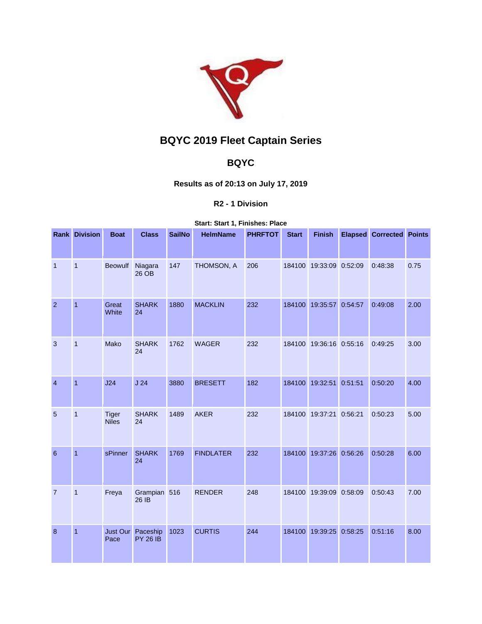

# **BQYC 2019 Fleet Captain Series**

## **BQYC**

## **Results as of 20:13 on July 17, 2019**

### **R2 - 1 Division**

#### **Start: Start 1, Finishes: Place**

|                | <b>Rank Division</b> | <b>Boat</b>                  | <b>Class</b>                | <b>SailNo</b> | <b>HelmName</b>  | <b>PHRFTOT</b> | <b>Start</b> | <b>Finish</b>           | <b>Elapsed</b> | <b>Corrected Points</b> |      |
|----------------|----------------------|------------------------------|-----------------------------|---------------|------------------|----------------|--------------|-------------------------|----------------|-------------------------|------|
| $\overline{1}$ | $\overline{1}$       | <b>Beowulf</b>               | Niagara<br>26 OB            | 147           | THOMSON, A       | 206            | 184100       | 19:33:09 0:52:09        |                | 0:48:38                 | 0.75 |
| $\overline{2}$ | $\overline{1}$       | Great<br>White               | <b>SHARK</b><br>24          | 1880          | <b>MACKLIN</b>   | 232            | 184100       | 19:35:57 0:54:57        |                | 0:49:08                 | 2.00 |
| 3              | $\mathbf{1}$         | Mako                         | <b>SHARK</b><br>24          | 1762          | <b>WAGER</b>     | 232            |              | 184100 19:36:16 0:55:16 |                | 0:49:25                 | 3.00 |
| $\overline{4}$ | $\overline{1}$       | J24                          | J <sub>24</sub>             | 3880          | <b>BRESETT</b>   | 182            |              | 184100 19:32:51 0:51:51 |                | 0:50:20                 | 4.00 |
| 5              | $\mathbf{1}$         | <b>Tiger</b><br><b>Niles</b> | <b>SHARK</b><br>24          | 1489          | <b>AKER</b>      | 232            |              | 184100 19:37:21 0:56:21 |                | 0:50:23                 | 5.00 |
| 6              | $\overline{1}$       | sPinner                      | <b>SHARK</b><br>24          | 1769          | <b>FINDLATER</b> | 232            | 184100       | 19:37:26 0:56:26        |                | 0:50:28                 | 6.00 |
| $\overline{7}$ | $\mathbf{1}$         | Freya                        | Grampian 516<br>26 IB       |               | <b>RENDER</b>    | 248            |              | 184100 19:39:09 0:58:09 |                | 0:50:43                 | 7.00 |
| 8              | $\mathbf{1}$         | Just Our<br>Pace             | Paceship<br><b>PY 26 IB</b> | 1023          | <b>CURTIS</b>    | 244            | 184100       | 19:39:25                | 0:58:25        | 0:51:16                 | 8.00 |